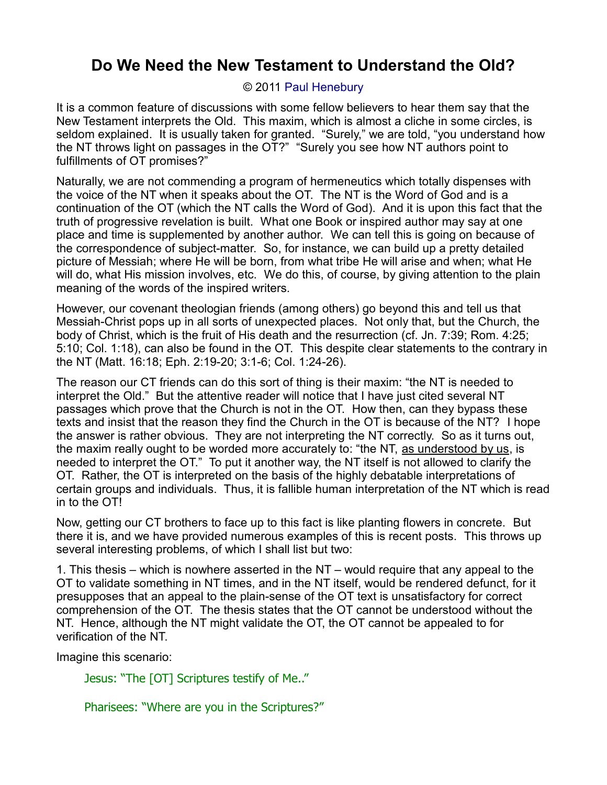## **Do We Need the New Testament to Understand the Old?**

## © 2011 [Paul Henebury](http://www.spiritandtruth.org/id/ph.htm)

It is a common feature of discussions with some fellow believers to hear them say that the New Testament interprets the Old. This maxim, which is almost a cliche in some circles, is seldom explained. It is usually taken for granted. "Surely," we are told, "you understand how the NT throws light on passages in the OT?" "Surely you see how NT authors point to fulfillments of OT promises?"

Naturally, we are not commending a program of hermeneutics which totally dispenses with the voice of the NT when it speaks about the OT. The NT is the Word of God and is a continuation of the OT (which the NT calls the Word of God). And it is upon this fact that the truth of progressive revelation is built. What one Book or inspired author may say at one place and time is supplemented by another author. We can tell this is going on because of the correspondence of subject-matter. So, for instance, we can build up a pretty detailed picture of Messiah; where He will be born, from what tribe He will arise and when; what He will do, what His mission involves, etc. We do this, of course, by giving attention to the plain meaning of the words of the inspired writers.

However, our covenant theologian friends (among others) go beyond this and tell us that Messiah-Christ pops up in all sorts of unexpected places. Not only that, but the Church, the body of Christ, which is the fruit of His death and the resurrection (cf. Jn. 7:39; Rom. 4:25; 5:10; Col. 1:18), can also be found in the OT. This despite clear statements to the contrary in the NT (Matt. 16:18; Eph. 2:19-20; 3:1-6; Col. 1:24-26).

The reason our CT friends can do this sort of thing is their maxim: "the NT is needed to interpret the Old." But the attentive reader will notice that I have just cited several NT passages which prove that the Church is not in the OT. How then, can they bypass these texts and insist that the reason they find the Church in the OT is because of the NT? I hope the answer is rather obvious. They are not interpreting the NT correctly. So as it turns out, the maxim really ought to be worded more accurately to: "the NT, as understood by us, is needed to interpret the OT." To put it another way, the NT itself is not allowed to clarify the OT. Rather, the OT is interpreted on the basis of the highly debatable interpretations of certain groups and individuals. Thus, it is fallible human interpretation of the NT which is read in to the OT!

Now, getting our CT brothers to face up to this fact is like planting flowers in concrete. But there it is, and we have provided numerous examples of this is recent posts. This throws up several interesting problems, of which I shall list but two:

1. This thesis – which is nowhere asserted in the NT – would require that any appeal to the OT to validate something in NT times, and in the NT itself, would be rendered defunct, for it presupposes that an appeal to the plain-sense of the OT text is unsatisfactory for correct comprehension of the OT. The thesis states that the OT cannot be understood without the NT. Hence, although the NT might validate the OT, the OT cannot be appealed to for verification of the NT.

Imagine this scenario:

Jesus: "The [OT] Scriptures testify of Me.."

Pharisees: "Where are you in the Scriptures?"